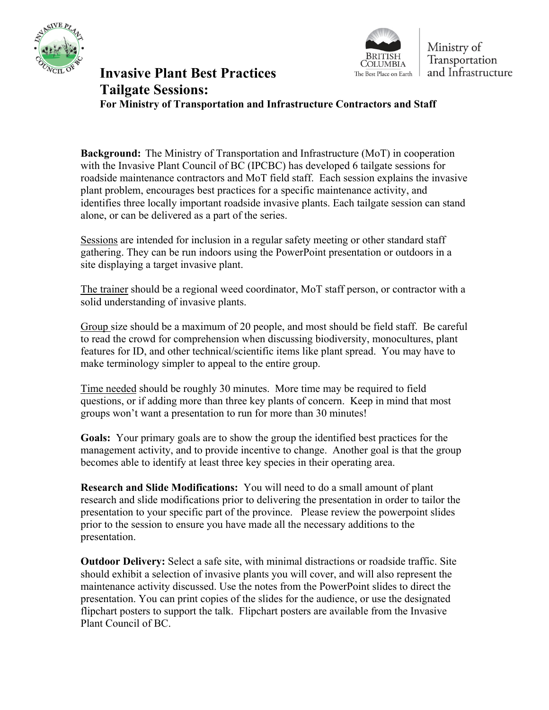



Ministry of Transportation and Infrastructure

## **Invasive Plant Best Practices** The Best Place on Earth **Tailgate Sessions: For Ministry of Transportation and Infrastructure Contractors and Staff**

**Background:** The Ministry of Transportation and Infrastructure (MoT) in cooperation with the Invasive Plant Council of BC (IPCBC) has developed 6 tailgate sessions for roadside maintenance contractors and MoT field staff. Each session explains the invasive plant problem, encourages best practices for a specific maintenance activity, and identifies three locally important roadside invasive plants. Each tailgate session can stand alone, or can be delivered as a part of the series.

Sessions are intended for inclusion in a regular safety meeting or other standard staff gathering. They can be run indoors using the PowerPoint presentation or outdoors in a site displaying a target invasive plant.

The trainer should be a regional weed coordinator, MoT staff person, or contractor with a solid understanding of invasive plants.

Group size should be a maximum of 20 people, and most should be field staff. Be careful to read the crowd for comprehension when discussing biodiversity, monocultures, plant features for ID, and other technical/scientific items like plant spread. You may have to make terminology simpler to appeal to the entire group.

Time needed should be roughly 30 minutes. More time may be required to field questions, or if adding more than three key plants of concern. Keep in mind that most groups won't want a presentation to run for more than 30 minutes!

**Goals:** Your primary goals are to show the group the identified best practices for the management activity, and to provide incentive to change. Another goal is that the group becomes able to identify at least three key species in their operating area.

**Research and Slide Modifications:** You will need to do a small amount of plant research and slide modifications prior to delivering the presentation in order to tailor the presentation to your specific part of the province. Please review the powerpoint slides prior to the session to ensure you have made all the necessary additions to the presentation.

**Outdoor Delivery:** Select a safe site, with minimal distractions or roadside traffic. Site should exhibit a selection of invasive plants you will cover, and will also represent the maintenance activity discussed. Use the notes from the PowerPoint slides to direct the presentation. You can print copies of the slides for the audience, or use the designated flipchart posters to support the talk. Flipchart posters are available from the Invasive Plant Council of BC.